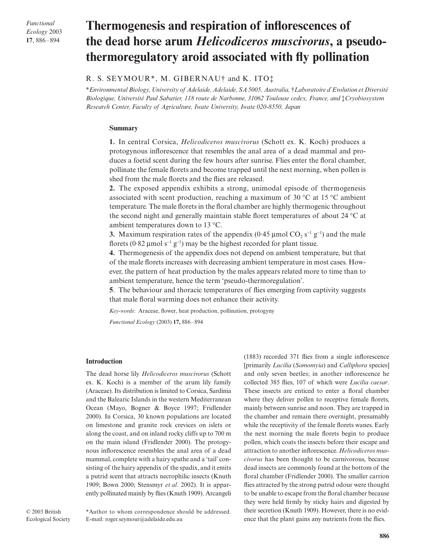*Functional Ecology* 2003 **17**, 886–894

# **Thermogenesis and respiration of inflorescences of the dead horse arum** *Helicodiceros muscivorus***, a pseudothermoregulatory aroid associated with fly pollination**

## R. S. SEYMOUR\*, M. GIBERNAU† and K. ITO‡

\**Environmental Biology, University of Adelaide, Adelaide, SA 5005, Australia,* †*Laboratoire d'Evolution et Diversité Biologique, Université Paul Sabatier, 118 route de Narbonne, 31062 Toulouse cedex, France, and* ‡*Cryobiosystem Research Center, Faculty of Agriculture, Iwate University, Iwate 020-8550, Japan* 

## **Summary**

**1.** In central Corsica, *Helicodiceros muscivorus* (Schott ex. K. Koch) produces a protogynous inflorescence that resembles the anal area of a dead mammal and produces a foetid scent during the few hours after sunrise. Flies enter the floral chamber, pollinate the female florets and become trapped until the next morning, when pollen is shed from the male florets and the flies are released.

**2.** The exposed appendix exhibits a strong, unimodal episode of thermogenesis associated with scent production, reaching a maximum of 30 °C at 15 °C ambient temperature. The male florets in the floral chamber are highly thermogenic throughout the second night and generally maintain stable floret temperatures of about 24 °C at ambient temperatures down to 13 °C.

**3.** Maximum respiration rates of the appendix  $(0.45 \mu \text{mol CO}_2 \text{ s}^{-1} \text{ g}^{-1})$  and the male florets (0.82 µmol s<sup>-1</sup> g<sup>-1</sup>) may be the highest recorded for plant tissue.

**4.** Thermogenesis of the appendix does not depend on ambient temperature, but that of the male florets increases with decreasing ambient temperature in most cases. However, the pattern of heat production by the males appears related more to time than to ambient temperature, hence the term 'pseudo-thermoregulation'.

**5**. The behaviour and thoracic temperatures of flies emerging from captivity suggests that male floral warming does not enhance their activity.

*Key-words*: Araceae, flower, heat production, pollination, protogyny

*Functional Ecology* (2003) **17,** 886–894

## **Introduction**

The dead horse lily *Helicodiceros muscivorus* (Schott ex. K. Koch) is a member of the arum lily family (Araceae). Its distribution is limited to Corsica, Sardinia and the Balearic Islands in the western Mediterranean Ocean (Mayo, Bogner & Boyce 1997; Fridlender 2000). In Corsica, 30 known populations are located on limestone and granite rock crevices on islets or along the coast, and on inland rocky cliffs up to 700 m on the main island (Fridlender 2000). The protogynous inflorescence resembles the anal area of a dead mammal, complete with a hairy spathe and a 'tail' consisting of the hairy appendix of the spadix, and it emits a putrid scent that attracts necrophilic insects (Knuth 1909; Bown 2000; Stensmyr *et al*. 2002). It is apparently pollinated mainly by flies (Knuth 1909). Arcangeli (1883) recorded 371 flies from a single inflorescence [primarily *Lucilia* (*Somomyia*) and *Calliphora* species] and only seven beetles; in another inflorescence he collected 385 flies, 107 of which were *Lucilia caesar*. These insects are enticed to enter a floral chamber where they deliver pollen to receptive female florets, mainly between sunrise and noon. They are trapped in the chamber and remain there overnight, presumably while the receptivity of the female florets wanes. Early the next morning the male florets begin to produce pollen, which coats the insects before their escape and attraction to another inflorescence. *Helicodiceros muscivorus* has been thought to be carnivorous, because dead insects are commonly found at the bottom of the floral chamber (Fridlender 2000). The smaller carrion flies attracted by the strong putrid odour were thought to be unable to escape from the floral chamber because they were held firmly by sticky hairs and digested by their secretion (Knuth 1909). However, there is no evidence that the plant gains any nutrients from the flies.

\*Author to whom correspondence should be addressed. E-mail: roger.seymour@adelaide.edu.au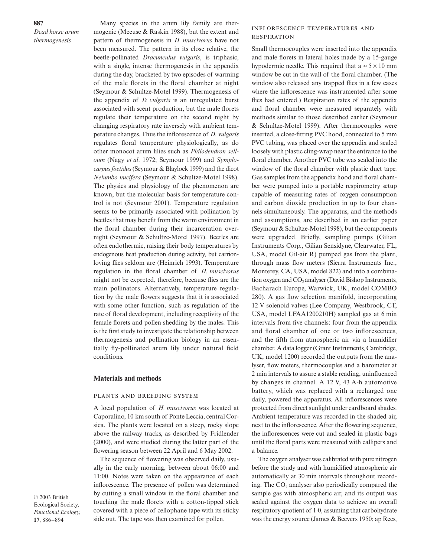**887** *Dead horse arum thermogenesis*

Many species in the arum lily family are thermogenic (Meeuse & Raskin 1988), but the extent and pattern of thermogenesis in *H. muscivorus* have not been measured. The pattern in its close relative, the beetle-pollinated *Dracunculus vulgaris*, is triphasic, with a single, intense thermogenesis in the appendix during the day, bracketed by two episodes of warming of the male florets in the floral chamber at night (Seymour & Schultze-Motel 1999). Thermogenesis of the appendix of *D. vulgaris* is an unregulated burst associated with scent production, but the male florets regulate their temperature on the second night by changing respiratory rate inversely with ambient temperature changes. Thus the inflorescence of *D. vulgaris* regulates floral temperature physiologically, as do other monocot arum lilies such as *Philodendron selloum* (Nagy *et al*. 1972; Seymour 1999) and *Symplocarpus foetidus*(Seymour & Blaylock 1999) and the dicot *Nelumbo nucifera* (Seymour & Schultze-Motel 1998). The physics and physiology of the phenomenon are known, but the molecular basis for temperature control is not (Seymour 2001). Temperature regulation seems to be primarily associated with pollination by beetles that may benefit from the warm environment in the floral chamber during their incarceration overnight (Seymour & Schultze-Motel 1997). Beetles are often endothermic, raising their body temperatures by endogenous heat production during activity, but carrionloving flies seldom are (Heinrich 1993). Temperature regulation in the floral chamber of *H. muscivorus* might not be expected, therefore, because flies are the main pollinators. Alternatively, temperature regulation by the male flowers suggests that it is associated with some other function, such as regulation of the rate of floral development, including receptivity of the female florets and pollen shedding by the males. This is the first study to investigate the relationship between thermogenesis and pollination biology in an essentially fly-pollinated arum lily under natural field conditions.

#### **Materials and methods**

#### PLANTS AND BREEDING SYSTEM

A local population of *H. muscivorus* was located at Caporalino, 10 km south of Ponte Leccia, central Corsica. The plants were located on a steep, rocky slope above the railway tracks, as described by Fridlender (2000), and were studied during the latter part of the flowering season between 22 April and 6 May 2002.

The sequence of flowering was observed daily, usually in the early morning, between about 06:00 and 11:00. Notes were taken on the appearance of each inflorescence. The presence of pollen was determined by cutting a small window in the floral chamber and touching the male florets with a cotton-tipped stick covered with a piece of cellophane tape with its sticky side out. The tape was then examined for pollen.

## **INFLORESCENCE TEMPERATURES AND RESPIRATION**

Small thermocouples were inserted into the appendix and male florets in lateral holes made by a 15-gauge hypodermic needle. This required that a  $\approx$  5  $\times$  10 mm window be cut in the wall of the floral chamber. (The window also released any trapped flies in a few cases where the inflorescence was instrumented after some flies had entered.) Respiration rates of the appendix and floral chamber were measured separately with methods similar to those described earlier (Seymour & Schultze-Motel 1999). After thermocouples were inserted, a close-fitting PVC hood, connected to 5 mm PVC tubing, was placed over the appendix and sealed loosely with plastic cling-wrap near the entrance to the floral chamber. Another PVC tube was sealed into the window of the floral chamber with plastic duct tape. Gas samples from the appendix hood and floral chamber were pumped into a portable respirometry setup capable of measuring rates of oxygen consumption and carbon dioxide production in up to four channels simultaneously. The apparatus, and the methods and assumptions, are described in an earlier paper (Seymour & Schultze-Motel 1998), but the components were upgraded. Briefly, sampling pumps (Gilian Instruments Corp., Gilian Sensidyne, Clearwater, FL, USA, model Gil-air R) pumped gas from the plant, through mass flow meters (Sierra Instruments Inc., Monterey, CA, USA, model 822) and into a combination oxygen and CO<sub>2</sub> analyser (David Bishop Instruments, Bacharach Europe, Warwick, UK, model COMBO 280). A gas flow selection manifold, incorporating 12 V solenoid valves (Lee Company, Westbrook, CT, USA, model LFAA1200210H) sampled gas at 6 min intervals from five channels: four from the appendix and floral chamber of one or two inflorescences, and the fifth from atmospheric air via a humidifier chamber. A data logger (Grant Instruments, Cambridge, UK, model 1200) recorded the outputs from the analyser, flow meters, thermocouples and a barometer at 2 min intervals to assure a stable reading, uninfluenced by changes in channel. A 12 V, 43 A-h automotive battery, which was replaced with a recharged one daily, powered the apparatus. All inflorescences were protected from direct sunlight under cardboard shades. Ambient temperature was recorded in the shaded air, next to the inflorescence. After the flowering sequence, the inflorescences were cut and sealed in plastic bags until the floral parts were measured with callipers and a balance.

The oxygen analyser was calibrated with pure nitrogen before the study and with humidified atmospheric air automatically at 30 min intervals throughout recording. The  $CO<sub>2</sub>$  analyser also periodically compared the sample gas with atmospheric air, and its output was scaled against the oxygen data to achieve an overall respiratory quotient of 1·0, assuming that carbohydrate was the energy source (James & Beevers 1950; ap Rees,

© 2003 British Ecological Society, *Functional Ecology*, **17**, 886–894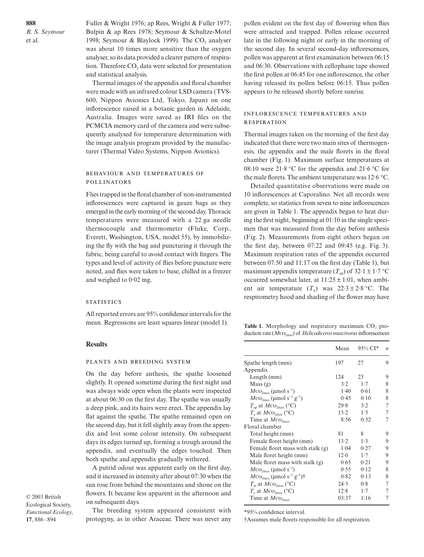Fuller & Wright 1976; ap Rees, Wright & Fuller 1977; Bulpin & ap Rees 1978; Seymour & Schultze-Motel 1998; Seymour & Blaylock 1999). The  $CO<sub>2</sub>$  analyser was about 10 times more sensitive than the oxygen analyser, so its data provided a clearer pattern of respiration. Therefore  $CO<sub>2</sub>$  data were selected for presentation and statistical analysis.

Thermal images of the appendix and floral chamber were made with an infrared colour LSD camera (TVS-600, Nippon Avionics Ltd, Tokyo, Japan) on one inflorescence raised in a botanic garden in Adelaide, Australia. Images were saved as IRI files on the PCMCIA memory card of the camera and were subsequently analysed for temperature determination with the image analysis program provided by the manufacturer (Thermal Video Systems, Nippon Avionics).

## BEHAVIOUR AND TEMPERATURES OF **POLLINATORS**

Flies trapped in the floral chamber of non-instrumented inflorescences were captured in gauze bags as they emerged in the early morning of the second day. Thoracic temperatures were measured with a 22 ga needle thermocouple and thermometer (Fluke, Corp., Everett, Washington, USA, model 55), by immobilizing the fly with the bag and puncturing it through the fabric, being careful to avoid contact with fingers. The types and level of activity of flies before puncture were noted, and flies were taken to base, chilled in a freezer and weighed to 0·02 mg.

#### **STATISTICS**

All reported errors are 95% confidence intervals for the mean. Regressions are least squares linear (model 1).

#### **Results**

#### PLANTS AND BREEDING SYSTEM

On the day before anthesis, the spathe loosened slightly. It opened sometime during the first night and was always wide open when the plants were inspected at about 06:30 on the first day. The spathe was usually a deep pink, and its hairs were erect. The appendix lay flat against the spathe. The spathe remained open on the second day, but it fell slightly away from the appendix and lost some colour intensity. On subsequent days its edges turned up, forming a trough around the appendix, and eventually the edges touched. Then both spathe and appendix gradually withered.

A putrid odour was apparent early on the first day, and it increased in intensity after about 07:30 when the sun rose from behind the mountains and shone on the flowers. It became less apparent in the afternoon and on subsequent days.

© 2003 British Ecological Society, *Functional Ecology*, **17**, 886–894

The breeding system appeared consistent with protogyny, as in other Araceae. There was never any

pollen evident on the first day of flowering when flies were attracted and trapped. Pollen release occurred late in the following night or early in the morning of the second day. In several second-day inflorescences, pollen was apparent at first examination between 06:15 and 06:30. Observations with cellophane tape showed the first pollen at 06:45 for one inflorescence, the other having released its pollen before 06:15. Thus pollen appears to be released shortly before sunrise.

## INFLORESCENCE TEMPERATURES AND **RESPIRATION**

Thermal images taken on the morning of the first day indicated that there were two main sites of thermogenesis, the appendix and the male florets in the floral chamber (Fig. 1). Maximum surface temperatures at 08:10 were 21.8 °C for the appendix and 21.6 °C for the male florets. The ambient temperature was 12·6 °C.

Detailed quantitative observations were made on 10 inflorescences at Caporalino. Not all records were complete, so statistics from seven to nine inflorescences are given in Table 1. The appendix began to heat during the first night, beginning at 01:10 in the single specimen that was measured from the day before anthesis (Fig. 2). Measurements from eight others began on the first day, between 07:22 and 09:45 (e.g. Fig. 3). Maximum respiration rates of the appendix occurred between 07:50 and 11:17 on the first day (Table 1), but maximum appendix temperature  $(T_{ap})$  of 32·1 ± 1·7 °C occurred somewhat later, at  $11:25 \pm 1:01$ , when ambient air temperature  $(T_a)$  was  $22.3 \pm 2.8$  °C. The respirometry hood and shading of the flower may have

Table 1. Morphology and respiratory maximum CO<sub>2</sub> production rate (*M*2max) of *Helicodiceros muscivorus*inflorescences

|                                                              | Mean   | $95\%$ CI* | $\boldsymbol{n}$ |
|--------------------------------------------------------------|--------|------------|------------------|
| Spathe length (mm)                                           | 197    | 27         | 9                |
| Appendix                                                     |        |            |                  |
| Length (mm)                                                  | 124    | 23         | 9                |
| Mass(g)                                                      | 3.2    | 1.7        | 8                |
| $MCO_{2max}$ (µmol s <sup>-1</sup> )                         | $1-40$ | 0.61       | 8                |
| $MCO_{2\text{max}}$ (µmol s <sup>-1</sup> g <sup>-1</sup> )  | 0.45   | 0.10       | 8                |
| $T_{\rm ap}$ at $M{\rm CO}_{\rm 2max}$ (°C)                  | 29.8   | 3.2        | 7                |
| $T_{\rm a}$ at $MCO_{2\rm max}$ (°C)                         | 15.2   | 1.5        | 7                |
| Time at $MCO_{2max}$                                         | 8:56   | 0:52       | 7                |
| Floral chamber                                               |        |            |                  |
| Total height (mm)                                            | 81     | 8          | 9                |
| Female floret height (mm)                                    | 13.2   | 1.3        | 9                |
| Female floret mass with stalk (g)                            | 1.04   | 0.27       | 9                |
| Male floret height (mm)                                      | 12.0   | 1.7        | 9                |
| Male floret mass with stalk $(g)$                            | 0.65   | 0.21       | 9                |
| $MCO2max$ (µmol s <sup>-1</sup> )                            | 0.55   | 0.12       | 8                |
| $MCO_{2\text{max}}$ (µmol s <sup>-1</sup> g <sup>-1</sup> )† | 0.82   | 0.13       | 8                |
| $T_m$ at $MCO_{2max}$ (°C)                                   | 24.3   | 0.8        | 7                |
| $T_a$ at $MCO_{2max}$ (°C)                                   | 12.8   | 1.7        | 7                |
| Time at $MCO2max$                                            | 03:37  | 1:16       | 7                |
|                                                              |        |            |                  |

\*95% confidence interval.

†Assumes male florets responsible for all respiration.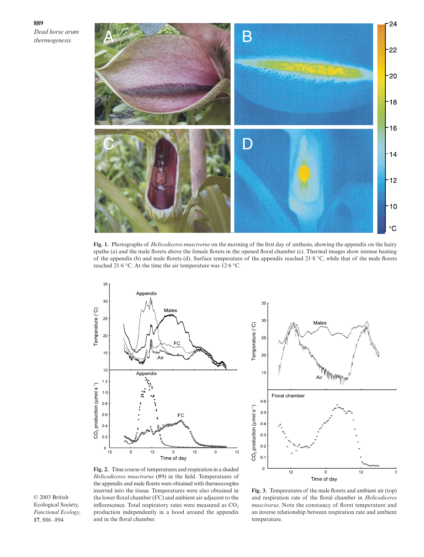**889** *Dead horse arum thermogenesis*



**Fig. 1.** Photographs of *Helicodiceros muscivorus* on the morning of the first day of anthesis, showing the appendix on the hairy spathe (a) and the male florets above the female florets in the opened floral chamber (c). Thermal images show intense heating of the appendix (b) and male florets (d). Surface temperature of the appendix reached 21·8 °C, while that of the male florets reached 21·6 °C. At the time the air temperature was 12·6 °C.





**Fig. 2.** Time course of temperatures and respiration in a shaded *Helicodiceros muscivorus* (#9) in the field. Temperatures of the appendix and male florets were obtained with thermocouples inserted into the tissue. Temperatures were also obtained in the lower floral chamber (FC) and ambient air adjacent to the inflorescence. Total respiratory rates were measured as CO<sub>2</sub> production independently in a hood around the appendix and in the floral chamber.

**Fig. 3.** Temperatures of the male florets and ambient air (top) and respiration rate of the floral chamber in *Helicodiceros muscivorus*. Note the constancy of floret temperature and an inverse relationship between respiration rate and ambient temperature.

© 2003 British Ecological Society, *Functional Ecology*, **17**, 886–894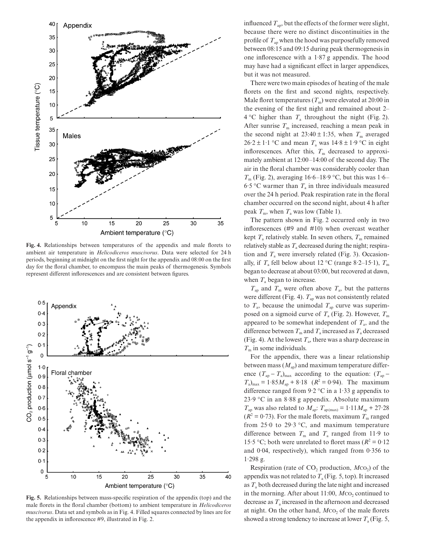

**Fig. 4.** Relationships between temperatures of the appendix and male florets to ambient air temperature in *Helicodiceros muscivorus*. Data were selected for 24 h periods, beginning at midnight on the first night for the appendix and 08:00 on the first day for the floral chamber, to encompass the main peaks of thermogenesis. Symbols represent different inflorescences and are consistent between figures.



Fig. 5. Relationships between mass-specific respiration of the appendix (top) and the male florets in the floral chamber (bottom) to ambient temperature in *Helicodiceros Functional Ecology*, *muscivorus*. Data set and symbols as in Fig. 4. Filled squares connected by lines are for the appendix in inflorescence #9, illustrated in Fig. 2.

influenced  $T_{\text{ap}}$ , but the effects of the former were slight, because there were no distinct discontinuities in the profile of  $T_{\text{ap}}$  when the hood was purposefully removed between 08:15 and 09:15 during peak thermogenesis in one inflorescence with a 1·87 g appendix. The hood may have had a significant effect in larger appendices, but it was not measured.

There were two main episodes of heating of the male florets on the first and second nights, respectively. Male floret temperatures  $(T_m)$  were elevated at 20:00 in the evening of the first night and remained about 2–  $4^{\circ}$ C higher than  $T_a$  throughout the night (Fig. 2). After sunrise  $T<sub>m</sub>$  increased, reaching a mean peak in the second night at  $23:40 \pm 1:35$ , when  $T<sub>m</sub>$  averaged  $26.2 \pm 1.1$  °C and mean  $T_a$  was  $14.8 \pm 1.9$  °C in eight inflorescences. After this,  $T<sub>m</sub>$  decreased to approximately ambient at 12:00–14:00 of the second day. The air in the floral chamber was considerably cooler than  $T<sub>m</sub>$  (Fig. 2), averaging 16.6–18.9 °C, but this was 1.6– 6.5 °C warmer than  $T_a$  in three individuals measured over the 24 h period. Peak respiration rate in the floral chamber occurred on the second night, about 4 h after peak  $T_m$ , when  $T_a$  was low (Table 1).

The pattern shown in Fig. 2 occurred only in two inflorescences (#9 and #10) when overcast weather kept  $T_a$  relatively stable. In seven others,  $T_m$  remained relatively stable as  $T_a$  decreased during the night; respiration and  $T_a$  were inversely related (Fig. 3). Occasionally, if  $T_a$  fell below about 12 °C (range 8·2–15·1),  $T_m$ began to decrease at about 03:00, but recovered at dawn, when  $T_a$  began to increase.

 $T_{ap}$  and  $T_{m}$  were often above  $T_{a}$ , but the patterns were different (Fig. 4).  $T_{ap}$  was not consistently related to  $T_a$ , because the unimodal  $T_a$  curve was superimposed on a sigmoid curve of  $T_a$  (Fig. 2). However,  $T_m$ appeared to be somewhat independent of  $T_a$ , and the difference between  $T_m$  and  $T_a$  increased as  $T_a$  decreased (Fig. 4). At the lowest  $T_a$ , there was a sharp decrease in  $T<sub>m</sub>$  in some individuals.

For the appendix, there was a linear relationship between mass  $(M<sub>an</sub>)$  and maximum temperature difference  $(T_{\text{ap}} - T_{\text{a}})_{\text{max}}$  according to the equation:  $(T_{\text{ap}} - T_{\text{ap}})$  $T_a$ <sub>max</sub> = 1·85 $M_{ap}$  + 8·18 ( $R^2$  = 0·94). The maximum difference ranged from  $9.2 \degree$ C in a 1.33 g appendix to 23·9 °C in an 8·88 g appendix. Absolute maximum  $T_{ap}$  was also related to  $M_{ap}$ :  $T_{ap \, (max)} = 1.11 M_{ap} + 27.28$  $(R^2 = 0.73)$ . For the male florets, maximum  $T<sub>m</sub>$  ranged from  $25.0$  to  $29.3$  °C, and maximum temperature difference between  $T_m$  and  $T_a$  ranged from 11.9 to 15.5 °C; both were unrelated to floret mass ( $R^2 = 0.12$ ) and 0·04, respectively), which ranged from 0·356 to 1·298 g.

Respiration (rate of CO<sub>2</sub> production, *M*cO<sub>2</sub>) of the appendix was not related to  $T_a$  (Fig. 5, top). It increased as  $T_a$  both decreased during the late night and increased in the morning. After about 11:00, *M*co<sub>2</sub> continued to decrease as  $T_a$  increased in the afternoon and decreased at night. On the other hand, *M*co<sub>2</sub> of the male florets showed a strong tendency to increase at lower  $T_a$  (Fig. 5,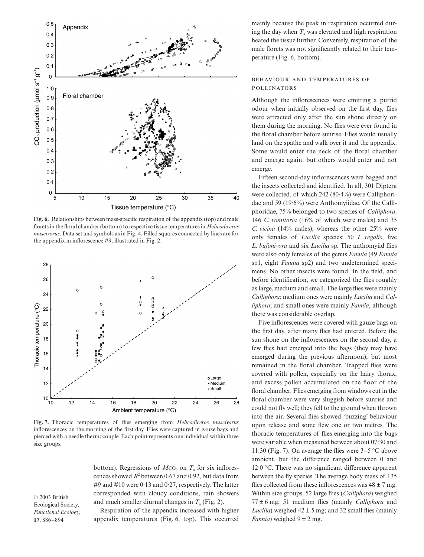

**Fig. 6.** Relationships between mass-specific respiration of the appendix (top) and male florets in the floral chamber (bottom) to respective tissue temperatures in *Helicodiceros muscivorus*. Data set and symbols as in Fig. 4. Filled squares connected by lines are for the appendix in inflorescence #9, illustrated in Fig. 2.



**Fig. 7.** Thoracic temperatures of flies emerging from *Helicodiceros muscivorus* inflorescences on the morning of the first day. Flies were captured in gauze bags and pierced with a needle thermocouple. Each point represents one individual within three size groups.

bottom). Regressions of  $MCO<sub>2</sub>$  on  $T<sub>a</sub>$  for six inflorescences showed  $R^2$  between 0.67 and 0.92, but data from #9 and #10 were 0·13 and 0·27, respectively. The latter corresponded with cloudy conditions, rain showers and much smaller diurnal changes in  $T_a$  (Fig. 2).

© 2003 British Ecological Society, *Functional Ecology*, **17**, 886–894

Respiration of the appendix increased with higher appendix temperatures (Fig. 6, top). This occurred

mainly because the peak in respiration occurred during the day when  $T_a$  was elevated and high respiration heated the tissue further. Conversely, respiration of the male florets was not significantly related to their temperature (Fig. 6, bottom).

## BEHAVIOUR AND TEMPERATURES OF **POLLINATORS**

Although the inflorescences were emitting a putrid odour when initially observed on the first day, flies were attracted only after the sun shone directly on them during the morning. No flies were ever found in the floral chamber before sunrise. Flies would usually land on the spathe and walk over it and the appendix. Some would enter the neck of the floral chamber and emerge again, but others would enter and not emerge.

Fifteen second-day inflorescences were bagged and the insects collected and identified. In all, 301 Diptera were collected, of which 242 (80·4%) were Calliphoridae and 59 (19·6%) were Anthomyiidae. Of the Calliphoridae, 75% belonged to two species of *Calliphora*: 146 *C. vomitoria* (16% of which were males) and 35 *C. vicina* (14% males); whereas the other 25% were only females of *Lucilia* species: 50 *L. regalis*, five *L. bufonivora* and six *Lucilia* sp. The anthomyiid flies were also only females of the genus *Fannia* (49 *Fannia* sp1, eight *Fannia* sp2) and two undetermined specimens. No other insects were found. In the field, and before identification, we categorized the flies roughly as large, medium and small. The large flies were mainly *Calliphora*; medium ones were mainly *Lucilia* and *Calliphora*; and small ones were mainly *Fannia*, although there was considerable overlap.

Five inflorescences were covered with gauze bags on the first day, after many flies had entered. Before the sun shone on the inflorescences on the second day, a few flies had emerged into the bags (they may have emerged during the previous afternoon), but most remained in the floral chamber. Trapped flies were covered with pollen, especially on the hairy thorax, and excess pollen accumulated on the floor of the floral chamber. Flies emerging from windows cut in the floral chamber were very sluggish before sunrise and could not fly well; they fell to the ground when thrown into the air. Several flies showed 'buzzing' behaviour upon release and some flew one or two metres. The thoracic temperatures of flies emerging into the bags were variable when measured between about 07:30 and 11:30 (Fig. 7). On average the flies were 3–5 °C above ambient, but the difference ranged between 0 and 12·0 °C. There was no significant difference apparent between the fly species. The average body mass of 135 flies collected from these inflorescences was  $48 \pm 7$  mg. Within size groups, 52 large flies (*Calliphora*) weighed 77 ± 6 mg; 51 medium flies (mainly *Calliphora* and *Lucilia*) weighed  $42 \pm 5$  mg; and 32 small flies (mainly *Fannia*) weighed  $9 \pm 2$  mg.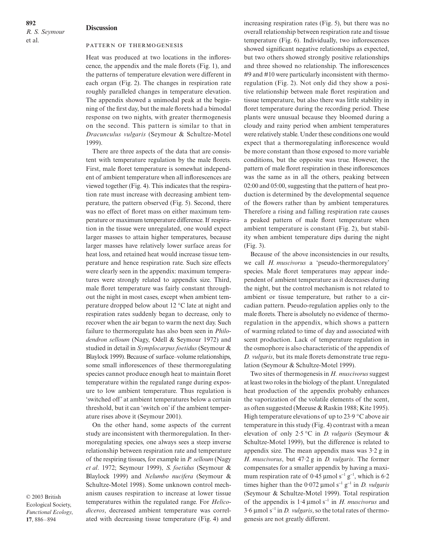**892** *R. S. Seymour*  et al.

#### **Discussion**

#### PATTERN OF THERMOGENESIS

Heat was produced at two locations in the inflorescence, the appendix and the male florets (Fig. 1), and the patterns of temperature elevation were different in each organ (Fig. 2). The changes in respiration rate roughly paralleled changes in temperature elevation. The appendix showed a unimodal peak at the beginning of the first day, but the male florets had a bimodal response on two nights, with greater thermogenesis on the second. This pattern is similar to that in *Dracunculus vulgaris* (Seymour & Schultze-Motel 1999).

There are three aspects of the data that are consistent with temperature regulation by the male florets. First, male floret temperature is somewhat independent of ambient temperature when all inflorescences are viewed together (Fig. 4). This indicates that the respiration rate must increase with decreasing ambient temperature, the pattern observed (Fig. 5). Second, there was no effect of floret mass on either maximum temperature or maximum temperature difference. If respiration in the tissue were unregulated, one would expect larger masses to attain higher temperatures, because larger masses have relatively lower surface areas for heat loss, and retained heat would increase tissue temperature and hence respiration rate. Such size effects were clearly seen in the appendix: maximum temperatures were strongly related to appendix size. Third, male floret temperature was fairly constant throughout the night in most cases, except when ambient temperature dropped below about 12 °C late at night and respiration rates suddenly began to decrease, only to recover when the air began to warm the next day. Such failure to thermoregulate has also been seen in *Philodendron selloum* (Nagy, Odell & Seymour 1972) and studied in detail in *Symplocarpus foetidus* (Seymour & Blaylock 1999). Because of surface–volume relationships, some small inflorescences of these thermoregulating species cannot produce enough heat to maintain floret temperature within the regulated range during exposure to low ambient temperature. Thus regulation is 'switched off' at ambient temperatures below a certain threshold, but it can 'switch on' if the ambient temperature rises above it (Seymour 2001).

On the other hand, some aspects of the current study are inconsistent with thermoregulation. In thermoregulating species, one always sees a steep inverse relationship between respiration rate and temperature of the respiring tissues, for example in *P. selloum* (Nagy *et al*. 1972; Seymour 1999), *S. foetidus* (Seymour & Blaylock 1999) and *Nelumbo nucifera* (Seymour & Schultze-Motel 1998). Some unknown control mechanism causes respiration to increase at lower tissue temperatures within the regulated range. For *Helicodiceros*, decreased ambient temperature was correlated with decreasing tissue temperature (Fig. 4) and

increasing respiration rates (Fig. 5), but there was no overall relationship between respiration rate and tissue temperature (Fig. 6). Individually, two inflorescences showed significant negative relationships as expected, but two others showed strongly positive relationships and three showed no relationship. The inflorescences #9 and #10 were particularly inconsistent with thermoregulation (Fig. 2). Not only did they show a positive relationship between male floret respiration and tissue temperature, but also there was little stability in floret temperature during the recording period. These plants were unusual because they bloomed during a cloudy and rainy period when ambient temperatures were relatively stable. Under these conditions one would expect that a thermoregulating inflorescence would be more constant than those exposed to more variable conditions, but the opposite was true. However, the pattern of male floret respiration in these inflorescences was the same as in all the others, peaking between 02:00 and 05:00, suggesting that the pattern of heat production is determined by the developmental sequence of the flowers rather than by ambient temperatures. Therefore a rising and falling respiration rate causes a peaked pattern of male floret temperature when ambient temperature is constant (Fig. 2), but stability when ambient temperature dips during the night (Fig. 3).

Because of the above inconsistencies in our results, we call *H. muscivorus* a 'pseudo-thermoregulatory' species. Male floret temperatures may appear independent of ambient temperature as it decreases during the night, but the control mechanism is not related to ambient or tissue temperature, but rather to a circadian pattern. Pseudo-regulation applies only to the male florets. There is absolutely no evidence of thermoregulation in the appendix, which shows a pattern of warming related to time of day and associated with scent production. Lack of temperature regulation in the osmophore is also characteristic of the appendix of *D. vulgaris*, but its male florets demonstrate true regulation (Seymour & Schultze-Motel 1999).

Two sites of thermogenesis in *H. muscivorus* suggest atleast two roles in the biology of the plant. Unregulated heat production of the appendix probably enhances the vaporization of the volatile elements of the scent, as often suggested (Meeuse & Raskin 1988; Kite 1995). High temperature elevations of up to  $23.9 \text{ °C}$  above air temperature in this study (Fig. 4) contrast with a mean elevation of only 2·5 °C in *D. vulgaris* (Seymour & Schultze-Motel 1999), but the difference is related to appendix size. The mean appendix mass was 3·2 g in *H. muscivorus*, but 47·2 g in *D. vulgaris*. The former compensates for a smaller appendix by having a maximum respiration rate of 0.45 µmol s<sup>-1</sup> g<sup>-1</sup>, which is 6.2 times higher than the 0·072 µmol s<sup>−</sup><sup>1</sup> g<sup>−</sup><sup>1</sup> in *D. vulgaris* (Seymour & Schultze-Motel 1999). Total respiration of the appendix is 1·4 µmol s<sup>−</sup><sup>1</sup> in *H. muscivorus* and 3·6 µmol s<sup>−</sup><sup>1</sup> in *D. vulgaris*, so the total rates of thermogenesis are not greatly different.

© 2003 British Ecological Society, *Functional Ecology*, **17**, 886–894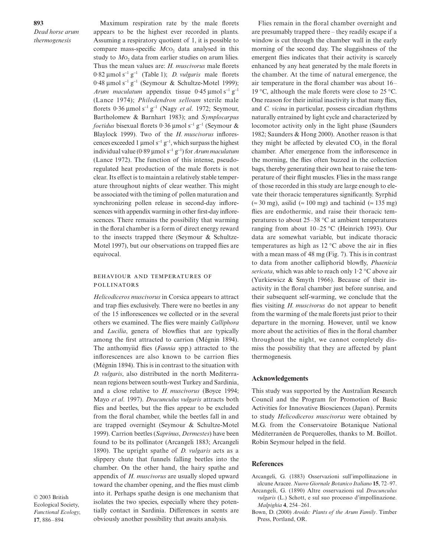**893** *Dead horse arum thermogenesis*

Maximum respiration rate by the male florets appears to be the highest ever recorded in plants. Assuming a respiratory quotient of 1, it is possible to compare mass-specific  $MCO<sub>2</sub>$  data analysed in this study to *M*<sub>0</sub>, data from earlier studies on arum lilies. Thus the mean values are: *H. muscivorus* male florets 0·82 µmol s<sup>−</sup><sup>1</sup> g<sup>−</sup><sup>1</sup> (Table 1); *D. vulgaris* male florets 0·48 µmol s<sup>−</sup><sup>1</sup> g<sup>−</sup><sup>1</sup> (Seymour & Schultze-Motel 1999); *Arum maculatum* appendix tissue 0⋅45 µmol s<sup>-1</sup> g<sup>-1</sup> (Lance 1974); *Philodendron selloum* sterile male florets 0·36 µmol s<sup>−</sup><sup>1</sup> g<sup>−</sup><sup>1</sup> (Nagy *et al*. 1972; Seymour, Bartholomew & Barnhart 1983); and *Symplocarpus foetidus* bisexual florets 0·36 μmol s<sup>-1</sup> g<sup>-1</sup> (Seymour & Blaylock 1999). Two of the *H. muscivorus* inflorescences exceeded 1 µmol s<sup>-1</sup> g<sup>-1</sup>, which surpass the highest individual value (0·89 µmol s<sup>−</sup><sup>1</sup> g<sup>−</sup><sup>1</sup> ) for *Arum maculatum* (Lance 1972). The function of this intense, pseudoregulated heat production of the male florets is not clear. Its effect is to maintain a relatively stable temperature throughout nights of clear weather. This might be associated with the timing of pollen maturation and synchronizing pollen release in second-day inflorescences with appendix warming in other first-day inflorescences. There remains the possibility that warming in the floral chamber is a form of direct energy reward to the insects trapped there (Seymour & Schultze-Motel 1997), but our observations on trapped flies are equivocal.

## BEHAVIOUR AND TEMPERATURES OF **POLLINATORS**

*Helicodiceros muscivorus* in Corsica appears to attract and trap flies exclusively. There were no beetles in any of the 15 inflorescences we collected or in the several others we examined. The flies were mainly *Calliphora* and *Lucilia*, genera of blowflies that are typically among the first attracted to carrion (Mégnin 1894). The anthomyiid flies (*Fannia* spp.) attracted to the inflorescences are also known to be carrion flies (Mégnin 1894). This is in contrast to the situation with *D. vulgaris*, also distributed in the north Mediterranean regions between south-west Turkey and Sardinia, and a close relative to *H. muscivorus* (Boyce 1994; Mayo *et al*. 1997). *Dracunculus vulgaris* attracts both flies and beetles, but the flies appear to be excluded from the floral chamber, while the beetles fall in and are trapped overnight (Seymour & Schultze-Motel 1999). Carrion beetles (*Saprinus*, *Dermestes*) have been found to be its pollinator (Arcangeli 1883; Arcangeli 1890). The upright spathe of *D. vulgaris* acts as a slippery chute that funnels falling beetles into the chamber. On the other hand, the hairy spathe and appendix of *H. muscivorus* are usually sloped upward toward the chamber opening, and the flies must climb into it. Perhaps spathe design is one mechanism that isolates the two species, especially where they potentially contact in Sardinia. Differences in scents are obviously another possibility that awaits analysis.

© 2003 British Ecological Society, *Functional Ecology*, **17**, 886–894

Flies remain in the floral chamber overnight and are presumably trapped there – they readily escape if a window is cut through the chamber wall in the early morning of the second day. The sluggishness of the emergent flies indicates that their activity is scarcely enhanced by any heat generated by the male florets in the chamber. At the time of natural emergence, the air temperature in the floral chamber was about 16– 19 °C, although the male florets were close to 25 °C. One reason for their initial inactivity is that many flies, and *C. vicina* in particular, possess circadian rhythms naturally entrained by light cycle and characterized by locomotor activity only in the light phase (Saunders 1982; Saunders & Hong 2000). Another reason is that they might be affected by elevated  $CO<sub>2</sub>$  in the floral chamber. After emergence from the inflorescence in the morning, the flies often buzzed in the collection bags, thereby generating their own heat to raise the temperature of their flight muscles. Flies in the mass range of those recorded in this study are large enough to elevate their thoracic temperatures significantly. Syrphid (≈ 30 mg), asilid (≈ 100 mg) and tachinid (≈ 135 mg) flies are endothermic, and raise their thoracic temperatures to about 25–38 °C at ambient temperatures ranging from about 10–25 °C (Heinrich 1993). Our data are somewhat variable, but indicate thoracic temperatures as high as  $12 \degree C$  above the air in flies with a mean mass of 48 mg (Fig. 7). This is in contrast to data from another calliphorid blowfly, *Phaenicia sericata*, which was able to reach only 1·2 °C above air (Yurkiewicz & Smyth 1966). Because of their inactivity in the floral chamber just before sunrise, and their subsequent self-warming, we conclude that the flies visiting *H. muscivorus* do not appear to benefit from the warming of the male florets just prior to their departure in the morning. However, until we know more about the activities of flies in the floral chamber throughout the night, we cannot completely dismiss the possibility that they are affected by plant thermogenesis.

#### **Acknowledgements**

This study was supported by the Australian Research Council and the Program for Promotion of Basic Activities for Innovative Biosciences (Japan). Permits to study *Helicodiceros muscivorus* were obtained by M.G. from the Conservatoire Botanique National Méditerranéen de Porquerolles, thanks to M. Boillot. Robin Seymour helped in the field.

### **References**

- Arcangeli, G. (1883) Osservazioni sull'impollinazione in alcune Aracee. *Nuovo Giornale Botanico Italiano* **15**, 72–97.
- Arcangeli, G. (1890) Altre osservazioni sul *Dracunculus vulgaris* (L.) Schott, e sul suo processo d'impollinazione. *Malpighia* **4**, 254–261.
- Bown, D. (2000) *Aroids: Plants of the Arum Family*. Timber Press, Portland, OR.